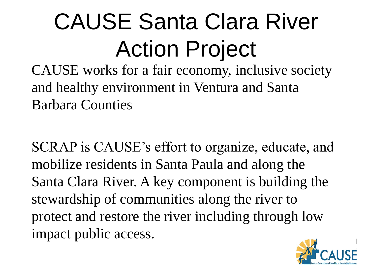# CAUSE Santa Clara River Action Project

CAUSE works for a fair economy, inclusive society and healthy environment in Ventura and Santa Barbara Counties

SCRAP is CAUSE's effort to organize, educate, and mobilize residents in Santa Paula and along the Santa Clara River. A key component is building the stewardship of communities along the river to protect and restore the river including through low impact public access.

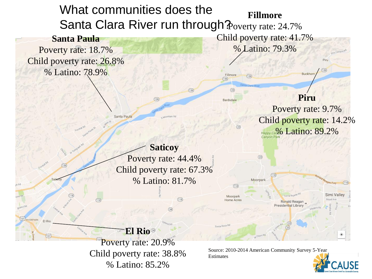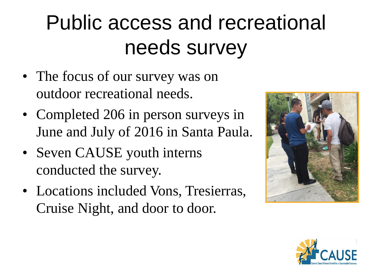### Public access and recreational needs survey

- The focus of our survey was on outdoor recreational needs.
- Completed 206 in person surveys in June and July of 2016 in Santa Paula.
- Seven CAUSE youth interns conducted the survey.
- Locations included Vons, Tresierras, Cruise Night, and door to door.



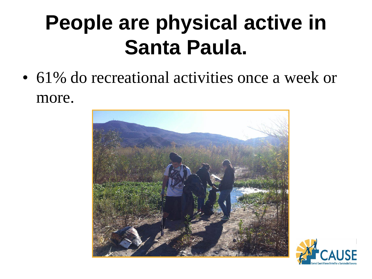#### **People are physical active in Santa Paula.**

• 61% do recreational activities once a week or more.



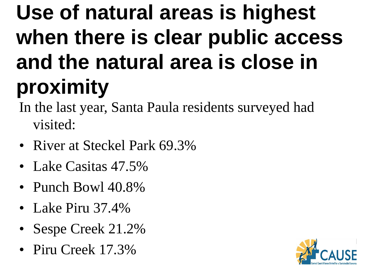## **Use of natural areas is highest when there is clear public access and the natural area is close in proximity**

- In the last year, Santa Paula residents surveyed had visited:
- River at Steckel Park 69.3%
- Lake Casitas 47.5%
- Punch Bowl 40.8%
- Lake Piru 37.4%
- Sespe Creek 21.2%
- Piru Creek 17.3%

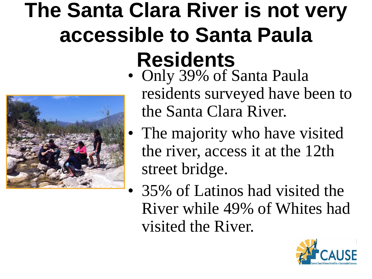## **The Santa Clara River is not very accessible to Santa Paula Residents**



- Only 39% of Santa Paula residents surveyed have been to the Santa Clara River.
- The majority who have visited the river, access it at the 12th street bridge.
- 35% of Latinos had visited the River while 49% of Whites had visited the River.

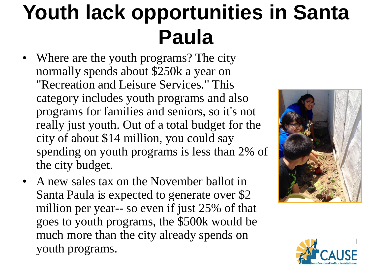#### **Youth lack opportunities in Santa Paula**

- Where are the youth programs? The city normally spends about \$250k a year on "Recreation and Leisure Services." This category includes youth programs and also programs for families and seniors, so it's not really just youth. Out of a total budget for the city of about \$14 million, you could say spending on youth programs is less than 2% of the city budget.
- A new sales tax on the November ballot in Santa Paula is expected to generate over \$2 million per year-- so even if just 25% of that goes to youth programs, the \$500k would be much more than the city already spends on youth programs.



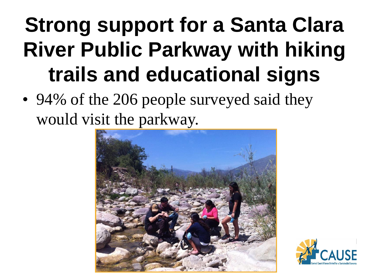## **Strong support for a Santa Clara River Public Parkway with hiking trails and educational signs**

• 94% of the 206 people surveyed said they would visit the parkway.



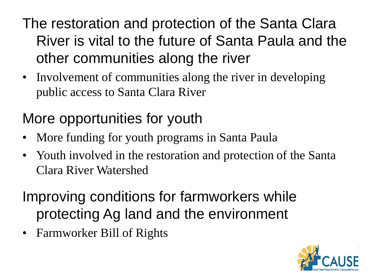#### The restoration and protection of the Santa Clara River is vital to the future of Santa Paula and the other communities along the river

• Involvement of communities along the river in developing public access to Santa Clara River

#### More opportunities for youth

- More funding for youth programs in Santa Paula
- Youth involved in the restoration and protection of the Santa Clara River Watershed

#### Improving conditions for farmworkers while protecting Ag land and the environment

• Farmworker Bill of Rights